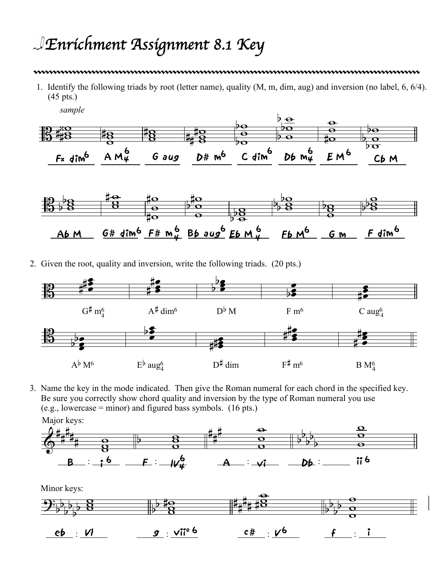## *Enrichment Assignment 8.1 Key*

## 

1. Identify the following triads by root (letter name), quality (M, m, dim, aug) and inversion (no label, 6, 6/4). (45 pts.)



2. Given the root, quality and inversion, write the following triads. (20 pts.)



3. Name the key in the mode indicated. Then give the Roman numeral for each chord in the specified key. Be sure you correctly show chord quality and inversion by the type of Roman numeral you use  $(e.g., lowercase = minor)$  and figured bass symbols. (16 pts.) Major keys: